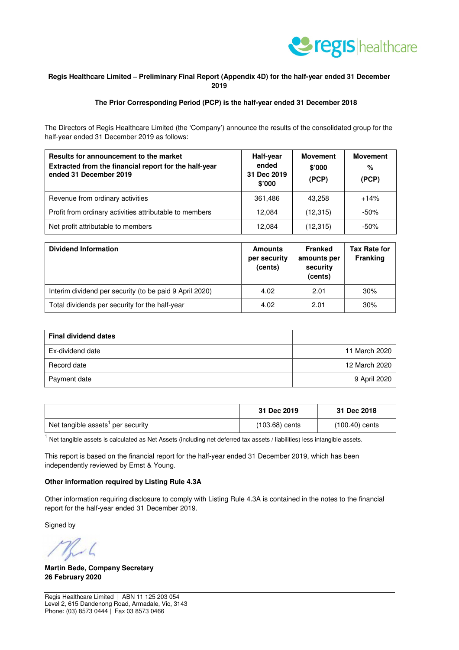

#### **Regis Healthcare Limited – Preliminary Final Report (Appendix 4D) for the half-year ended 31 December 2019**

#### **The Prior Corresponding Period (PCP) is the half-year ended 31 December 2018**

The Directors of Regis Healthcare Limited (the 'Company') announce the results of the consolidated group for the half-year ended 31 December 2019 as follows:

| Results for announcement to the market<br>Extracted from the financial report for the half-year<br>ended 31 December 2019 | Half-year<br>ended<br>31 Dec 2019<br>\$'000 | <b>Movement</b><br>\$'000<br>(PCP) | <b>Movement</b><br>%<br>(PCP) |  |
|---------------------------------------------------------------------------------------------------------------------------|---------------------------------------------|------------------------------------|-------------------------------|--|
| Revenue from ordinary activities                                                                                          | 361,486                                     | 43,258                             | $+14%$                        |  |
| Profit from ordinary activities attributable to members                                                                   | 12.084                                      | (12, 315)                          | $-50%$                        |  |
| Net profit attributable to members                                                                                        | 12,084                                      | (12, 315)                          | $-50%$                        |  |

| <b>Dividend Information</b>                             | <b>Amounts</b><br>per security<br>(cents) | <b>Franked</b><br>amounts per<br>security<br>(cents) | <b>Tax Rate for</b><br><b>Franking</b> |
|---------------------------------------------------------|-------------------------------------------|------------------------------------------------------|----------------------------------------|
| Interim dividend per security (to be paid 9 April 2020) | 4.02                                      | 2.01                                                 | 30%                                    |
| Total dividends per security for the half-year          | 4.02                                      | 2.01                                                 | 30%                                    |

| <b>Final dividend dates</b> |               |
|-----------------------------|---------------|
| Ex-dividend date            | 11 March 2020 |
| Record date                 | 12 March 2020 |
| Payment date                | 9 April 2020  |

|                                               | 31 Dec 2019      | 31 Dec 2018      |
|-----------------------------------------------|------------------|------------------|
| Net tangible assets <sup>1</sup> per security | $(103.68)$ cents | $(100.40)$ cents |

<sup>1</sup> Net tangible assets is calculated as Net Assets (including net deferred tax assets / liabilities) less intangible assets.

This report is based on the financial report for the half-year ended 31 December 2019, which has been independently reviewed by Ernst & Young.

#### **Other information required by Listing Rule 4.3A**

Other information requiring disclosure to comply with Listing Rule 4.3A is contained in the notes to the financial report for the half-year ended 31 December 2019.

Signed by

 $\backsim$  4

**Martin Bede, Company Secretary 26 February 2020**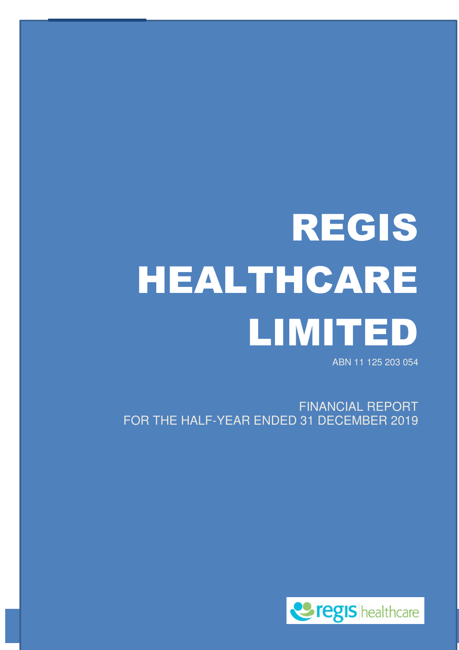# REGIS HEALTHCARE LIMITED

ABN 11 125 203 054

FINANCIAL REPORT FOR THE HALF-YEAR ENDED 31 DECEMBER 2019

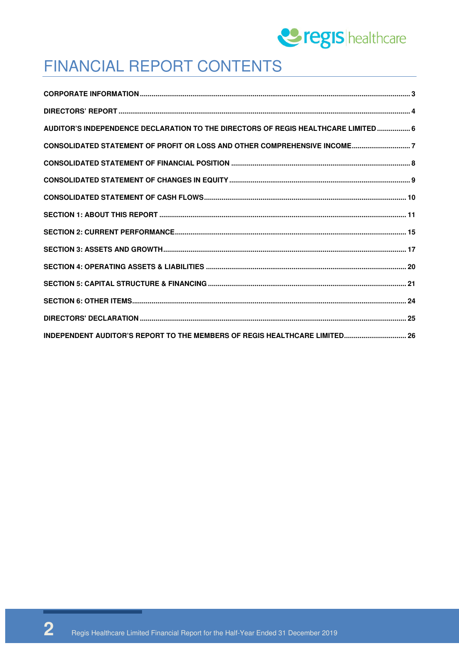

# FINANCIAL REPORT CONTENTS

| AUDITOR'S INDEPENDENCE DECLARATION TO THE DIRECTORS OF REGIS HEALTHCARE LIMITED 6 |  |
|-----------------------------------------------------------------------------------|--|
| CONSOLIDATED STATEMENT OF PROFIT OR LOSS AND OTHER COMPREHENSIVE INCOME 7         |  |
|                                                                                   |  |
|                                                                                   |  |
|                                                                                   |  |
|                                                                                   |  |
|                                                                                   |  |
|                                                                                   |  |
|                                                                                   |  |
|                                                                                   |  |
|                                                                                   |  |
|                                                                                   |  |
| INDEPENDENT AUDITOR'S REPORT TO THE MEMBERS OF REGIS HEALTHCARE LIMITED 26        |  |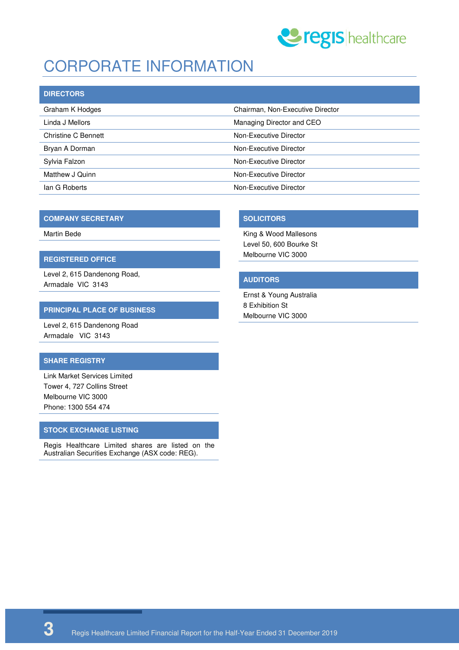

# CORPORATE INFORMATION

| <b>DIRECTORS</b>    |                                  |
|---------------------|----------------------------------|
| Graham K Hodges     | Chairman, Non-Executive Director |
| Linda J Mellors     | Managing Director and CEO        |
| Christine C Bennett | Non-Executive Director           |
| Bryan A Dorman      | Non-Executive Director           |
| Sylvia Falzon       | Non-Executive Director           |
| Matthew J Quinn     | Non-Executive Director           |
| lan G Roberts       | Non-Executive Director           |

#### **COMPANY SECRETARY**

Martin Bede

#### **REGISTERED OFFICE**

Level 2, 615 Dandenong Road, Armadale VIC 3143

#### **PRINCIPAL PLACE OF BUSINESS**

Level 2, 615 Dandenong Road Armadale VIC 3143

#### **SHARE REGISTRY**

Link Market Services Limited Tower 4, 727 Collins Street Melbourne VIC 3000 Phone: 1300 554 474

#### **STOCK EXCHANGE LISTING**

Regis Healthcare Limited shares are listed on the Australian Securities Exchange (ASX code: REG).

#### **SOLICITORS**

King & Wood Mallesons Level 50, 600 Bourke St Melbourne VIC 3000

#### **AUDITORS**

Ernst & Young Australia 8 Exhibition St Melbourne VIC 3000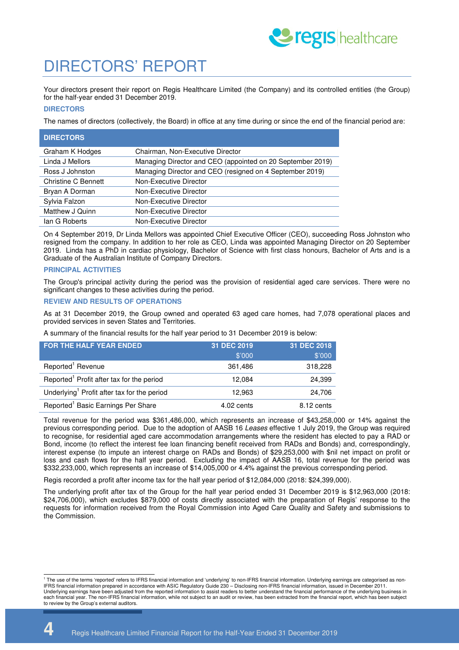

# DIRECTORS' REPORT

Your directors present their report on Regis Healthcare Limited (the Company) and its controlled entities (the Group) for the half-year ended 31 December 2019.

#### **DIRECTORS**

The names of directors (collectively, the Board) in office at any time during or since the end of the financial period are:

| Chairman, Non-Executive Director                           |
|------------------------------------------------------------|
| Managing Director and CEO (appointed on 20 September 2019) |
| Managing Director and CEO (resigned on 4 September 2019)   |
| Non-Executive Director                                     |
| Non-Executive Director                                     |
| Non-Executive Director                                     |
| Non-Executive Director                                     |
| Non-Executive Director                                     |
|                                                            |

On 4 September 2019, Dr Linda Mellors was appointed Chief Executive Officer (CEO), succeeding Ross Johnston who resigned from the company. In addition to her role as CEO, Linda was appointed Managing Director on 20 September 2019. Linda has a PhD in cardiac physiology, Bachelor of Science with first class honours, Bachelor of Arts and is a Graduate of the Australian Institute of Company Directors.

#### **PRINCIPAL ACTIVITIES**

The Group's principal activity during the period was the provision of residential aged care services. There were no significant changes to these activities during the period.

#### **REVIEW AND RESULTS OF OPERATIONS**

As at 31 December 2019, the Group owned and operated 63 aged care homes, had 7,078 operational places and provided services in seven States and Territories.

A summary of the financial results for the half year period to 31 December 2019 is below:

| <b>FOR THE HALF YEAR ENDED</b>                          | 31 DEC 2019 | 31 DEC 2018 |
|---------------------------------------------------------|-------------|-------------|
|                                                         | \$'000      | \$'000      |
| Reported <sup>1</sup> Revenue                           | 361,486     | 318,228     |
| Reported <sup>1</sup> Profit after tax for the period   | 12.084      | 24,399      |
| Underlying <sup>1</sup> Profit after tax for the period | 12.963      | 24,706      |
| Reported <sup>1</sup> Basic Earnings Per Share          | 4.02 cents  | 8.12 cents  |

Total revenue for the period was \$361,486,000, which represents an increase of \$43,258,000 or 14% against the previous corresponding period. Due to the adoption of AASB 16 Leases effective 1 July 2019, the Group was required to recognise, for residential aged care accommodation arrangements where the resident has elected to pay a RAD or Bond, income (to reflect the interest fee loan financing benefit received from RADs and Bonds) and, correspondingly, interest expense (to impute an interest charge on RADs and Bonds) of \$29,253,000 with \$nil net impact on profit or loss and cash flows for the half year period. Excluding the impact of AASB 16, total revenue for the period was \$332,233,000, which represents an increase of \$14,005,000 or 4.4% against the previous corresponding period.

Regis recorded a profit after income tax for the half year period of \$12,084,000 (2018: \$24,399,000).

The underlying profit after tax of the Group for the half year period ended 31 December 2019 is \$12,963,000 (2018: \$24,706,000), which excludes \$879,000 of costs directly associated with the preparation of Regis' response to the requests for information received from the Royal Commission into Aged Care Quality and Safety and submissions to the Commission.

 1 The use of the terms 'reported' refers to IFRS financial information and 'underlying' to non-IFRS financial information. Underlying earnings are categorised as non-IFRS financial information prepared in accordance with ASIC Regulatory Guide 230 – Disclosing non-IFRS financial information, issued in December 2011. Underlying earnings have been adjusted from the reported information to assist readers to better understand the financial performance of the underlying business in each financial year. The non-IFRS financial information, while not subject to an audit or review, has been extracted from the financial report, which has been subject to review by the Group's external auditors.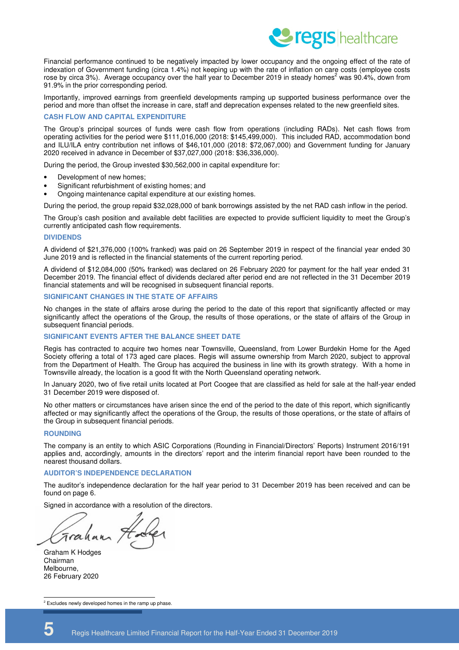

Financial performance continued to be negatively impacted by lower occupancy and the ongoing effect of the rate of indexation of Government funding (circa 1.4%) not keeping up with the rate of inflation on care costs (employee costs rose by circa 3%). Average occupancy over the half year to December 2019 in steady homes<sup>2</sup> was 90.4%, down from 91.9% in the prior corresponding period.

Importantly, improved earnings from greenfield developments ramping up supported business performance over the period and more than offset the increase in care, staff and deprecation expenses related to the new greenfield sites.

#### **CASH FLOW AND CAPITAL EXPENDITURE**

The Group's principal sources of funds were cash flow from operations (including RADs). Net cash flows from operating activities for the period were \$111,016,000 (2018: \$145,499,000). This included RAD, accommodation bond and ILU/ILA entry contribution net inflows of \$46,101,000 (2018: \$72,067,000) and Government funding for January 2020 received in advance in December of \$37,027,000 (2018: \$36,336,000).

During the period, the Group invested \$30,562,000 in capital expenditure for:

- Development of new homes;
- Significant refurbishment of existing homes; and
- Ongoing maintenance capital expenditure at our existing homes.

During the period, the group repaid \$32,028,000 of bank borrowings assisted by the net RAD cash inflow in the period.

The Group's cash position and available debt facilities are expected to provide sufficient liquidity to meet the Group's currently anticipated cash flow requirements.

#### **DIVIDENDS**

A dividend of \$21,376,000 (100% franked) was paid on 26 September 2019 in respect of the financial year ended 30 June 2019 and is reflected in the financial statements of the current reporting period.

A dividend of \$12,084,000 (50% franked) was declared on 26 February 2020 for payment for the half year ended 31 December 2019. The financial effect of dividends declared after period end are not reflected in the 31 December 2019 financial statements and will be recognised in subsequent financial reports.

#### **SIGNIFICANT CHANGES IN THE STATE OF AFFAIRS**

No changes in the state of affairs arose during the period to the date of this report that significantly affected or may significantly affect the operations of the Group, the results of those operations, or the state of affairs of the Group in subsequent financial periods.

#### **SIGNIFICANT EVENTS AFTER THE BALANCE SHEET DATE**

Regis has contracted to acquire two homes near Townsville, Queensland, from Lower Burdekin Home for the Aged Society offering a total of 173 aged care places. Regis will assume ownership from March 2020, subject to approval from the Department of Health. The Group has acquired the business in line with its growth strategy. With a home in Townsville already, the location is a good fit with the North Queensland operating network.

In January 2020, two of five retail units located at Port Coogee that are classified as held for sale at the half-year ended 31 December 2019 were disposed of.

No other matters or circumstances have arisen since the end of the period to the date of this report, which significantly affected or may significantly affect the operations of the Group, the results of those operations, or the state of affairs of the Group in subsequent financial periods.

#### **ROUNDING**

The company is an entity to which ASIC Corporations (Rounding in Financial/Directors' Reports) Instrument 2016/191 applies and, accordingly, amounts in the directors' report and the interim financial report have been rounded to the nearest thousand dollars.

#### **AUDITOR'S INDEPENDENCE DECLARATION**

The auditor's independence declaration for the half year period to 31 December 2019 has been received and can be found on page 6.

Signed in accordance with a resolution of the directors.

Trahan

Graham K Hodges Chairman Melbourne, 26 February 2020

 $2$  Excludes newly developed homes in the ramp up phase.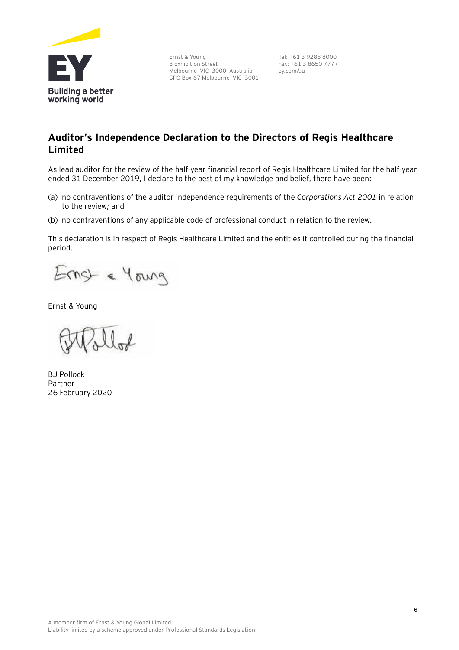

Ernst & Young 8 Exhibition Street Melbourne VIC 3000 Australia GPO Box 67 Melbourne VIC 3001

Tel: +61 3 9288 8000 Fax: +61 3 8650 7777 ey.com/au

### **Auditor's Independence Declaration to the Directors of Regis Healthcare Limited**

As lead auditor for the review of the half-year financial report of Regis Healthcare Limited for the half-year ended 31 December 2019, I declare to the best of my knowledge and belief, there have been:

- (a) no contraventions of the auditor independence requirements of the *Corporations Act 2001* in relation to the review*;* and
- (b) no contraventions of any applicable code of professional conduct in relation to the review.

This declaration is in respect of Regis Healthcare Limited and the entities it controlled during the financial period.

Ernst & Young

Ernst & Young

BJ Pollock Partner 26 February 2020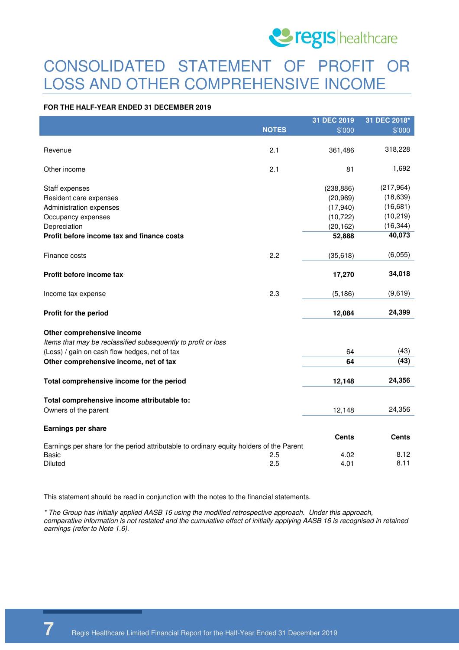

### CONSOLIDATED STATEMENT OF PROFIT OR LOSS AND OTHER COMPREHENSIVE INCOME

#### **FOR THE HALF-YEAR ENDED 31 DECEMBER 2019**

|                                                                                         |              | 31 DEC 2019  | 31 DEC 2018* |
|-----------------------------------------------------------------------------------------|--------------|--------------|--------------|
|                                                                                         | <b>NOTES</b> | \$'000       | \$'000       |
|                                                                                         |              |              |              |
| Revenue                                                                                 | 2.1          | 361,486      | 318,228      |
|                                                                                         |              |              |              |
| Other income                                                                            | 2.1          | 81           | 1,692        |
|                                                                                         |              |              |              |
| Staff expenses                                                                          |              | (238, 886)   | (217, 964)   |
| Resident care expenses                                                                  |              | (20, 969)    | (18, 639)    |
| Administration expenses                                                                 |              | (17, 940)    | (16, 681)    |
| Occupancy expenses                                                                      |              | (10, 722)    | (10, 219)    |
| Depreciation                                                                            |              | (20, 162)    | (16, 344)    |
| Profit before income tax and finance costs                                              |              | 52,888       | 40,073       |
|                                                                                         |              |              |              |
| Finance costs                                                                           | 2.2          | (35, 618)    | (6,055)      |
| Profit before income tax                                                                |              |              | 34,018       |
|                                                                                         |              | 17,270       |              |
| Income tax expense                                                                      | 2.3          | (5, 186)     | (9,619)      |
|                                                                                         |              |              |              |
| Profit for the period                                                                   |              | 12,084       | 24,399       |
|                                                                                         |              |              |              |
| Other comprehensive income                                                              |              |              |              |
| Items that may be reclassified subsequently to profit or loss                           |              |              |              |
| (Loss) / gain on cash flow hedges, net of tax                                           |              | 64           | (43)         |
| Other comprehensive income, net of tax                                                  |              | 64           | (43)         |
|                                                                                         |              |              |              |
| Total comprehensive income for the period                                               |              | 12,148       | 24,356       |
|                                                                                         |              |              |              |
| Total comprehensive income attributable to:                                             |              |              |              |
| Owners of the parent                                                                    |              | 12,148       | 24,356       |
|                                                                                         |              |              |              |
| <b>Earnings per share</b>                                                               |              |              |              |
|                                                                                         |              | <b>Cents</b> | <b>Cents</b> |
| Earnings per share for the period attributable to ordinary equity holders of the Parent |              |              |              |
| <b>Basic</b>                                                                            | 2.5          | 4.02         | 8.12         |
| Diluted                                                                                 | 2.5          | 4.01         | 8.11         |

This statement should be read in conjunction with the notes to the financial statements.

\* The Group has initially applied AASB 16 using the modified retrospective approach. Under this approach, comparative information is not restated and the cumulative effect of initially applying AASB 16 is recognised in retained earnings (refer to Note 1.6).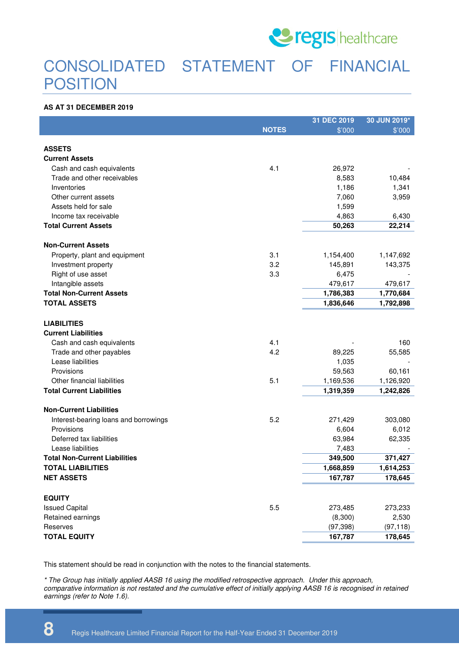

### CONSOLIDATED STATEMENT OF FINANCIAL **POSITION**

#### **AS AT 31 DECEMBER 2019**

|                                       |              | 31 DEC 2019 | 30 JUN 2019* |
|---------------------------------------|--------------|-------------|--------------|
|                                       | <b>NOTES</b> | \$'000      | \$'000       |
|                                       |              |             |              |
| <b>ASSETS</b>                         |              |             |              |
| <b>Current Assets</b>                 |              |             |              |
| Cash and cash equivalents             | 4.1          | 26,972      |              |
| Trade and other receivables           |              | 8,583       | 10,484       |
| Inventories                           |              | 1,186       | 1,341        |
| Other current assets                  |              | 7,060       | 3,959        |
| Assets held for sale                  |              | 1,599       |              |
| Income tax receivable                 |              | 4,863       | 6,430        |
| <b>Total Current Assets</b>           |              | 50,263      | 22,214       |
| <b>Non-Current Assets</b>             |              |             |              |
| Property, plant and equipment         | 3.1          | 1,154,400   | 1,147,692    |
| Investment property                   | 3.2          | 145,891     | 143,375      |
| Right of use asset                    | 3.3          | 6,475       |              |
| Intangible assets                     |              | 479,617     | 479,617      |
| <b>Total Non-Current Assets</b>       |              | 1,786,383   | 1,770,684    |
| <b>TOTAL ASSETS</b>                   |              | 1,836,646   | 1,792,898    |
| <b>LIABILITIES</b>                    |              |             |              |
| <b>Current Liabilities</b>            |              |             |              |
| Cash and cash equivalents             | 4.1          |             | 160          |
| Trade and other payables              | 4.2          | 89,225      | 55,585       |
| Lease liabilities                     |              | 1,035       |              |
| Provisions                            |              | 59,563      | 60,161       |
| Other financial liabilities           | 5.1          | 1,169,536   | 1,126,920    |
| <b>Total Current Liabilities</b>      |              | 1,319,359   | 1,242,826    |
|                                       |              |             |              |
| <b>Non-Current Liabilities</b>        |              |             |              |
| Interest-bearing loans and borrowings | 5.2          | 271,429     | 303,080      |
| Provisions                            |              | 6,604       | 6,012        |
| Deferred tax liabilities              |              | 63,984      | 62,335       |
| Lease liabilities                     |              | 7,483       |              |
| <b>Total Non-Current Liabilities</b>  |              | 349,500     | 371,427      |
| <b>TOTAL LIABILITIES</b>              |              | 1,668,859   | 1,614,253    |
| <b>NET ASSETS</b>                     |              | 167,787     | 178,645      |
| <b>EQUITY</b>                         |              |             |              |
| <b>Issued Capital</b>                 | 5.5          | 273,485     | 273,233      |
| Retained earnings                     |              | (8,300)     | 2,530        |
| Reserves                              |              | (97, 398)   | (97, 118)    |
| <b>TOTAL EQUITY</b>                   |              | 167,787     | 178,645      |
|                                       |              |             |              |

This statement should be read in conjunction with the notes to the financial statements.

\* The Group has initially applied AASB 16 using the modified retrospective approach. Under this approach, comparative information is not restated and the cumulative effect of initially applying AASB 16 is recognised in retained earnings (refer to Note 1.6).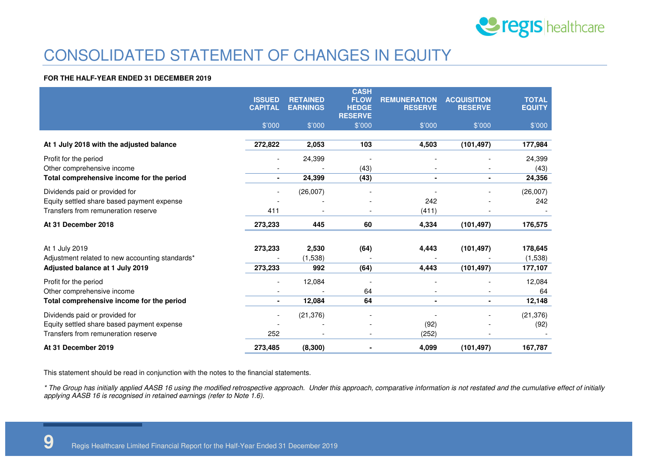

## CONSOLIDATED STATEMENT OF CHANGES IN EQUITY

#### **FOR THE HALF-YEAR ENDED 31 DECEMBER 2019**

|                                                                                                                     | <b>ISSUED</b><br><b>CAPITAL</b> | <b>RETAINED</b><br><b>EARNINGS</b> | <b>CASH</b><br><b>FLOW</b><br><b>HEDGE</b><br><b>RESERVE</b> | <b>REMUNERATION</b><br><b>RESERVE</b> | <b>ACQUISITION</b><br><b>RESERVE</b> | <b>TOTAL</b><br><b>EQUITY</b> |
|---------------------------------------------------------------------------------------------------------------------|---------------------------------|------------------------------------|--------------------------------------------------------------|---------------------------------------|--------------------------------------|-------------------------------|
|                                                                                                                     | \$'000                          | \$'000                             | \$'000                                                       | \$'000                                | \$'000                               | \$'000                        |
| At 1 July 2018 with the adjusted balance                                                                            | 272,822                         | 2,053                              | 103                                                          | 4,503                                 | (101, 497)                           | 177,984                       |
| Profit for the period<br>Other comprehensive income                                                                 |                                 | 24,399                             | (43)                                                         |                                       |                                      | 24,399<br>(43)                |
| Total comprehensive income for the period                                                                           |                                 | 24,399                             | (43)                                                         |                                       | $\blacksquare$                       | 24,356                        |
| Dividends paid or provided for<br>Equity settled share based payment expense<br>Transfers from remuneration reserve | 411                             | (26,007)                           |                                                              | 242<br>(411)                          |                                      | (26,007)<br>242               |
| At 31 December 2018                                                                                                 | 273,233                         | 445                                | 60                                                           | 4,334                                 | (101, 497)                           | 176,575                       |
| At 1 July 2019<br>Adjustment related to new accounting standards*<br>Adjusted balance at 1 July 2019                | 273,233<br>273,233              | 2,530<br>(1,538)<br>992            | (64)<br>(64)                                                 | 4,443<br>4,443                        | (101, 497)<br>(101, 497)             | 178,645<br>(1,538)<br>177,107 |
| Profit for the period<br>Other comprehensive income<br>Total comprehensive income for the period                    | $\overline{\phantom{a}}$        | 12,084<br>12,084                   | 64<br>64                                                     | $\blacksquare$                        | $\blacksquare$                       | 12,084<br>64<br>12,148        |
| Dividends paid or provided for<br>Equity settled share based payment expense<br>Transfers from remuneration reserve | 252                             | (21, 376)                          |                                                              | (92)<br>(252)                         |                                      | (21, 376)<br>(92)             |
| At 31 December 2019                                                                                                 | 273,485                         | (8, 300)                           |                                                              | 4,099                                 | (101, 497)                           | 167,787                       |

This statement should be read in conjunction with the notes to the financial statements.

\* The Group has initially applied AASB 16 using the modified retrospective approach. Under this approach, comparative information is not restated and the cumulative effect of initially applying AASB 16 is recognised in retained earnings (refer to Note 1.6).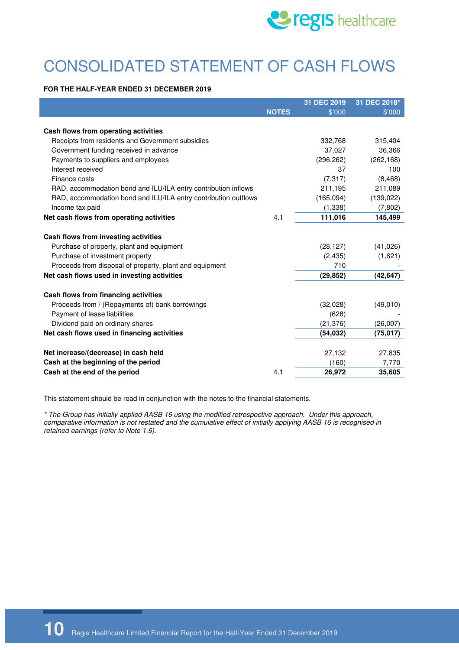

# CONSOLIDATED STATEMENT OF CASH FLOWS

#### **FOR THE HALF-YEAR ENDED 31 DECEMBER 2019**

|                                                                 |              | 31 DEC 2019 | 31 DEC 2018* |
|-----------------------------------------------------------------|--------------|-------------|--------------|
|                                                                 | <b>NOTES</b> | \$'000      | \$'000       |
|                                                                 |              |             |              |
| Cash flows from operating activities                            |              |             |              |
| Receipts from residents and Government subsidies                |              | 332,768     | 315,404      |
| Government funding received in advance                          |              | 37,027      | 36,366       |
| Payments to suppliers and employees                             |              | (296, 262)  | (262, 168)   |
| Interest received                                               |              | 37          | 100          |
| Finance costs                                                   |              | (7, 317)    | (8, 468)     |
| RAD, accommodation bond and ILU/ILA entry contribution inflows  |              | 211,195     | 211,089      |
| RAD, accommodation bond and ILU/ILA entry contribution outflows |              | (165, 094)  | (139, 022)   |
| Income tax paid                                                 |              | (1, 338)    | (7,802)      |
| Net cash flows from operating activities                        | 4.1          | 111,016     | 145,499      |
| Cash flows from investing activities                            |              |             |              |
| Purchase of property, plant and equipment                       |              | (28, 127)   | (41,026)     |
| Purchase of investment property                                 |              | (2, 435)    | (1,621)      |
| Proceeds from disposal of property, plant and equipment         |              | 710         |              |
| Net cash flows used in investing activities                     |              | (29, 852)   | (42, 647)    |
| Cash flows from financing activities                            |              |             |              |
| Proceeds from / (Repayments of) bank borrowings                 |              | (32,028)    | (49,010)     |
| Payment of lease liabilities                                    |              | (628)       |              |
| Dividend paid on ordinary shares                                |              | (21, 376)   | (26,007)     |
| Net cash flows used in financing activities                     |              | (54, 032)   | (75, 017)    |
| Net increase/(decrease) in cash held                            |              | 27,132      | 27,835       |
| Cash at the beginning of the period                             |              | (160)       | 7,770        |
| Cash at the end of the period                                   |              | 26,972      |              |
|                                                                 | 4.1          |             | 35,605       |

This statement should be read in conjunction with the notes to the financial statements.

\* The Group has initially applied AASB 16 using the modified retrospective approach. Under this approach, comparative information is not restated and the cumulative effect of initially applying AASB 16 is recognised in retained earnings (refer to Note 1.6).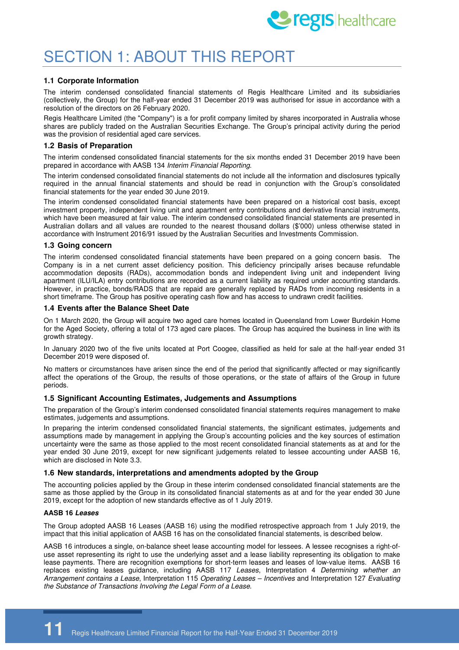

## SECTION 1: ABOUT THIS REPORT

#### **1.1 Corporate Information**

The interim condensed consolidated financial statements of Regis Healthcare Limited and its subsidiaries (collectively, the Group) for the half-year ended 31 December 2019 was authorised for issue in accordance with a resolution of the directors on 26 February 2020.

Regis Healthcare Limited (the "Company") is a for profit company limited by shares incorporated in Australia whose shares are publicly traded on the Australian Securities Exchange. The Group's principal activity during the period was the provision of residential aged care services.

#### **1.2 Basis of Preparation**

The interim condensed consolidated financial statements for the six months ended 31 December 2019 have been prepared in accordance with AASB 134 Interim Financial Reporting.

The interim condensed consolidated financial statements do not include all the information and disclosures typically required in the annual financial statements and should be read in conjunction with the Group's consolidated financial statements for the year ended 30 June 2019.

The interim condensed consolidated financial statements have been prepared on a historical cost basis, except investment property, independent living unit and apartment entry contributions and derivative financial instruments, which have been measured at fair value. The interim condensed consolidated financial statements are presented in Australian dollars and all values are rounded to the nearest thousand dollars (\$'000) unless otherwise stated in accordance with Instrument 2016/91 issued by the Australian Securities and Investments Commission.

#### **1.3 Going concern**

The interim condensed consolidated financial statements have been prepared on a going concern basis. The Company is in a net current asset deficiency position. This deficiency principally arises because refundable accommodation deposits (RADs), accommodation bonds and independent living unit and independent living apartment (ILU/ILA) entry contributions are recorded as a current liability as required under accounting standards. However, in practice, bonds/RADS that are repaid are generally replaced by RADs from incoming residents in a short timeframe. The Group has positive operating cash flow and has access to undrawn credit facilities.

#### **1.4 Events after the Balance Sheet Date**

On 1 March 2020, the Group will acquire two aged care homes located in Queensland from Lower Burdekin Home for the Aged Society, offering a total of 173 aged care places. The Group has acquired the business in line with its growth strategy.

In January 2020 two of the five units located at Port Coogee, classified as held for sale at the half-year ended 31 December 2019 were disposed of.

No matters or circumstances have arisen since the end of the period that significantly affected or may significantly affect the operations of the Group, the results of those operations, or the state of affairs of the Group in future periods.

#### **1.5 Significant Accounting Estimates, Judgements and Assumptions**

The preparation of the Group's interim condensed consolidated financial statements requires management to make estimates, judgements and assumptions.

In preparing the interim condensed consolidated financial statements, the significant estimates, judgements and assumptions made by management in applying the Group's accounting policies and the key sources of estimation uncertainty were the same as those applied to the most recent consolidated financial statements as at and for the year ended 30 June 2019, except for new significant judgements related to lessee accounting under AASB 16, which are disclosed in Note 3.3.

#### **1.6 New standards, interpretations and amendments adopted by the Group**

The accounting policies applied by the Group in these interim condensed consolidated financial statements are the same as those applied by the Group in its consolidated financial statements as at and for the year ended 30 June 2019, except for the adoption of new standards effective as of 1 July 2019.

#### **AASB 16 Leases**

The Group adopted AASB 16 Leases (AASB 16) using the modified retrospective approach from 1 July 2019, the impact that this initial application of AASB 16 has on the consolidated financial statements, is described below.

AASB 16 introduces a single, on-balance sheet lease accounting model for lessees. A lessee recognises a right-ofuse asset representing its right to use the underlying asset and a lease liability representing its obligation to make lease payments. There are recognition exemptions for short-term leases and leases of low-value items. AASB 16 replaces existing leases guidance, including AASB 117 Leases, Interpretation 4 Determining whether an Arrangement contains a Lease, Interpretation 115 Operating Leases – Incentives and Interpretation 127 Evaluating the Substance of Transactions Involving the Legal Form of a Lease.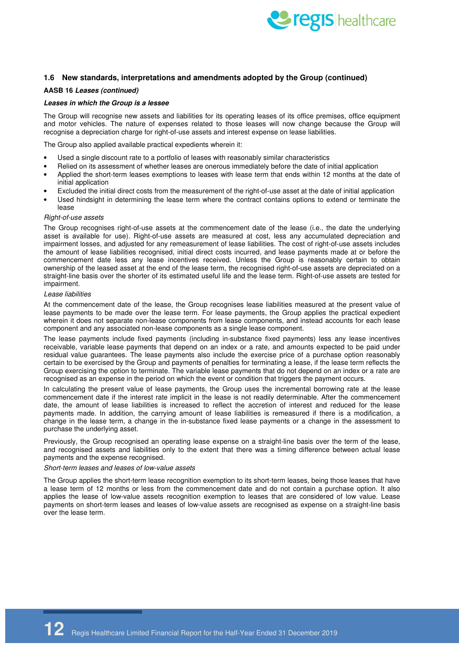

#### **1.6 New standards, interpretations and amendments adopted by the Group (continued)**

#### **AASB 16 Leases (continued)**

#### **Leases in which the Group is a lessee**

The Group will recognise new assets and liabilities for its operating leases of its office premises, office equipment and motor vehicles. The nature of expenses related to those leases will now change because the Group will recognise a depreciation charge for right-of-use assets and interest expense on lease liabilities.

The Group also applied available practical expedients wherein it:

- Used a single discount rate to a portfolio of leases with reasonably similar characteristics
- Relied on its assessment of whether leases are onerous immediately before the date of initial application
- Applied the short-term leases exemptions to leases with lease term that ends within 12 months at the date of initial application
- Excluded the initial direct costs from the measurement of the right-of-use asset at the date of initial application
- Used hindsight in determining the lease term where the contract contains options to extend or terminate the lease

#### Right-of-use assets

The Group recognises right-of-use assets at the commencement date of the lease (i.e., the date the underlying asset is available for use). Right-of-use assets are measured at cost, less any accumulated depreciation and impairment losses, and adjusted for any remeasurement of lease liabilities. The cost of right-of-use assets includes the amount of lease liabilities recognised, initial direct costs incurred, and lease payments made at or before the commencement date less any lease incentives received. Unless the Group is reasonably certain to obtain ownership of the leased asset at the end of the lease term, the recognised right-of-use assets are depreciated on a straight-line basis over the shorter of its estimated useful life and the lease term. Right-of-use assets are tested for impairment.

#### Lease liabilities

At the commencement date of the lease, the Group recognises lease liabilities measured at the present value of lease payments to be made over the lease term. For lease payments, the Group applies the practical expedient wherein it does not separate non-lease components from lease components, and instead accounts for each lease component and any associated non-lease components as a single lease component.

The lease payments include fixed payments (including in-substance fixed payments) less any lease incentives receivable, variable lease payments that depend on an index or a rate, and amounts expected to be paid under residual value guarantees. The lease payments also include the exercise price of a purchase option reasonably certain to be exercised by the Group and payments of penalties for terminating a lease, if the lease term reflects the Group exercising the option to terminate. The variable lease payments that do not depend on an index or a rate are recognised as an expense in the period on which the event or condition that triggers the payment occurs.

In calculating the present value of lease payments, the Group uses the incremental borrowing rate at the lease commencement date if the interest rate implicit in the lease is not readily determinable. After the commencement date, the amount of lease liabilities is increased to reflect the accretion of interest and reduced for the lease payments made. In addition, the carrying amount of lease liabilities is remeasured if there is a modification, a change in the lease term, a change in the in-substance fixed lease payments or a change in the assessment to purchase the underlying asset.

Previously, the Group recognised an operating lease expense on a straight-line basis over the term of the lease, and recognised assets and liabilities only to the extent that there was a timing difference between actual lease payments and the expense recognised.

#### Short-term leases and leases of low-value assets

The Group applies the short-term lease recognition exemption to its short-term leases, being those leases that have a lease term of 12 months or less from the commencement date and do not contain a purchase option. It also applies the lease of low-value assets recognition exemption to leases that are considered of low value. Lease payments on short-term leases and leases of low-value assets are recognised as expense on a straight-line basis over the lease term.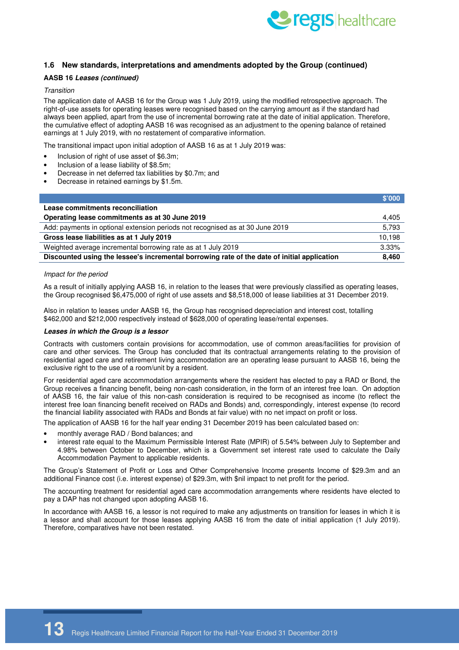

#### **1.6 New standards, interpretations and amendments adopted by the Group (continued)**

#### **AASB 16 Leases (continued)**

#### **Transition**

The application date of AASB 16 for the Group was 1 July 2019, using the modified retrospective approach. The right-of-use assets for operating leases were recognised based on the carrying amount as if the standard had always been applied, apart from the use of incremental borrowing rate at the date of initial application. Therefore, the cumulative effect of adopting AASB 16 was recognised as an adjustment to the opening balance of retained earnings at 1 July 2019, with no restatement of comparative information.

The transitional impact upon initial adoption of AASB 16 as at 1 July 2019 was:

- Inclusion of right of use asset of \$6.3m;
- Inclusion of a lease liability of \$8.5m;
- Decrease in net deferred tax liabilities by \$0.7m; and
- Decrease in retained earnings by \$1.5m.

|                                                                                             | \$'000 |
|---------------------------------------------------------------------------------------------|--------|
| Lease commitments reconciliation                                                            |        |
| Operating lease commitments as at 30 June 2019                                              | 4,405  |
| Add: payments in optional extension periods not recognised as at 30 June 2019               | 5,793  |
| Gross lease liabilities as at 1 July 2019                                                   | 10.198 |
| Weighted average incremental borrowing rate as at 1 July 2019                               | 3.33%  |
| Discounted using the lessee's incremental borrowing rate of the date of initial application | 8.460  |

#### Impact for the period

As a result of initially applying AASB 16, in relation to the leases that were previously classified as operating leases, the Group recognised \$6,475,000 of right of use assets and \$8,518,000 of lease liabilities at 31 December 2019.

Also in relation to leases under AASB 16, the Group has recognised depreciation and interest cost, totalling \$462,000 and \$212,000 respectively instead of \$628,000 of operating lease/rental expenses.

#### **Leases in which the Group is a lessor**

Contracts with customers contain provisions for accommodation, use of common areas/facilities for provision of care and other services. The Group has concluded that its contractual arrangements relating to the provision of residential aged care and retirement living accommodation are an operating lease pursuant to AASB 16, being the exclusive right to the use of a room/unit by a resident.

For residential aged care accommodation arrangements where the resident has elected to pay a RAD or Bond, the Group receives a financing benefit, being non-cash consideration, in the form of an interest free loan. On adoption of AASB 16, the fair value of this non-cash consideration is required to be recognised as income (to reflect the interest free loan financing benefit received on RADs and Bonds) and, correspondingly, interest expense (to record the financial liability associated with RADs and Bonds at fair value) with no net impact on profit or loss.

The application of AASB 16 for the half year ending 31 December 2019 has been calculated based on:

- monthly average RAD / Bond balances; and
- interest rate equal to the Maximum Permissible Interest Rate (MPIR) of 5.54% between July to September and 4.98% between October to December, which is a Government set interest rate used to calculate the Daily Accommodation Payment to applicable residents.

The Group's Statement of Profit or Loss and Other Comprehensive Income presents Income of \$29.3m and an additional Finance cost (i.e. interest expense) of \$29.3m, with \$nil impact to net profit for the period.

The accounting treatment for residential aged care accommodation arrangements where residents have elected to pay a DAP has not changed upon adopting AASB 16.

In accordance with AASB 16, a lessor is not required to make any adjustments on transition for leases in which it is a lessor and shall account for those leases applying AASB 16 from the date of initial application (1 July 2019). Therefore, comparatives have not been restated.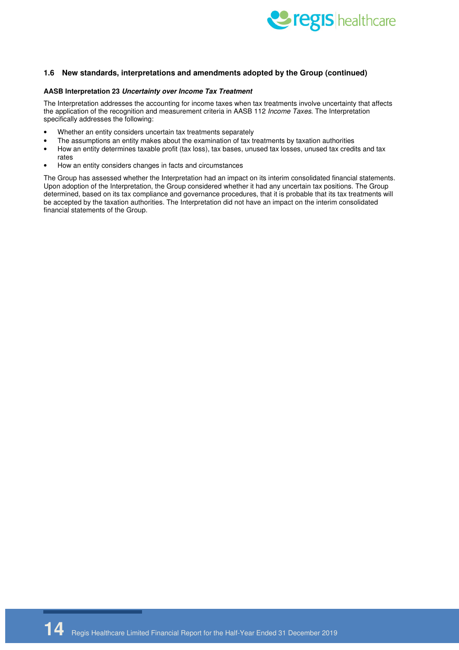

#### **1.6 New standards, interpretations and amendments adopted by the Group (continued)**

#### **AASB Interpretation 23 Uncertainty over Income Tax Treatment**

The Interpretation addresses the accounting for income taxes when tax treatments involve uncertainty that affects the application of the recognition and measurement criteria in AASB 112 Income Taxes. The Interpretation specifically addresses the following:

- Whether an entity considers uncertain tax treatments separately
- The assumptions an entity makes about the examination of tax treatments by taxation authorities
- How an entity determines taxable profit (tax loss), tax bases, unused tax losses, unused tax credits and tax rates
- How an entity considers changes in facts and circumstances

The Group has assessed whether the Interpretation had an impact on its interim consolidated financial statements. Upon adoption of the Interpretation, the Group considered whether it had any uncertain tax positions. The Group determined, based on its tax compliance and governance procedures, that it is probable that its tax treatments will be accepted by the taxation authorities. The Interpretation did not have an impact on the interim consolidated financial statements of the Group.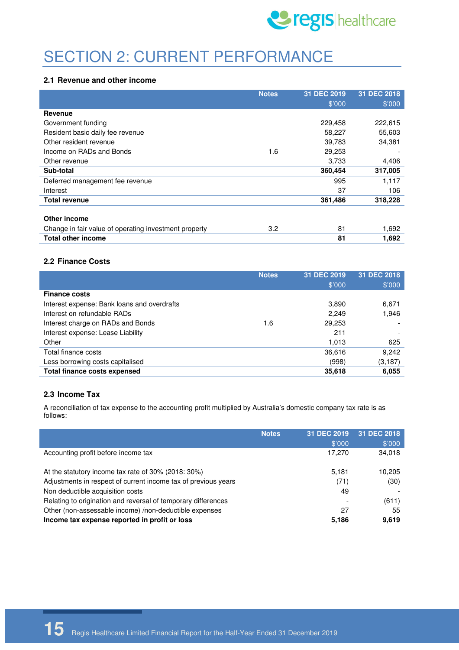

# SECTION 2: CURRENT PERFORMANCE

#### **2.1 Revenue and other income**

|                                                       | <b>Notes</b>     | 31 DEC 2019 | 31 DEC 2018 |
|-------------------------------------------------------|------------------|-------------|-------------|
|                                                       |                  | \$'000      | \$'000      |
| Revenue                                               |                  |             |             |
| Government funding                                    |                  | 229,458     | 222,615     |
| Resident basic daily fee revenue                      |                  | 58,227      | 55,603      |
| Other resident revenue                                |                  | 39,783      | 34,381      |
| Income on RADs and Bonds                              | 1.6              | 29,253      |             |
| Other revenue                                         |                  | 3,733       | 4,406       |
| Sub-total                                             |                  | 360,454     | 317,005     |
| Deferred management fee revenue                       |                  | 995         | 1,117       |
| Interest                                              |                  | 37          | 106         |
| <b>Total revenue</b>                                  |                  | 361,486     | 318,228     |
|                                                       |                  |             |             |
| Other income                                          |                  |             |             |
| Change in fair value of operating investment property | 3.2 <sub>2</sub> | 81          | 1,692       |
| <b>Total other income</b>                             |                  | 81          | 1,692       |

#### **2.2 Finance Costs**

|                                             | <b>Notes</b> | 31 DEC 2019<br>\$'000 | 31 DEC 2018<br>\$'000 |
|---------------------------------------------|--------------|-----------------------|-----------------------|
| <b>Finance costs</b>                        |              |                       |                       |
| Interest expense: Bank loans and overdrafts |              | 3.890                 | 6.671                 |
| Interest on refundable RADs                 |              | 2.249                 | 1,946                 |
| Interest charge on RADs and Bonds           | 1.6          | 29,253                |                       |
| Interest expense: Lease Liability           |              | 211                   |                       |
| Other                                       |              | 1,013                 | 625                   |
| Total finance costs                         |              | 36,616                | 9,242                 |
| Less borrowing costs capitalised            |              | (998)                 | (3, 187)              |
| <b>Total finance costs expensed</b>         |              | 35,618                | 6,055                 |

#### **2.3 Income Tax**

A reconciliation of tax expense to the accounting profit multiplied by Australia's domestic company tax rate is as follows:

|                                                                | <b>Notes</b> | 31 DEC 2019 | 31 DEC 2018 |
|----------------------------------------------------------------|--------------|-------------|-------------|
|                                                                |              | \$'000      | \$'000      |
| Accounting profit before income tax                            |              | 17.270      | 34,018      |
| At the statutory income tax rate of 30% (2018: 30%)            |              | 5,181       | 10,205      |
| Adjustments in respect of current income tax of previous years |              | (71)        | (30)        |
| Non deductible acquisition costs                               |              | 49          |             |
| Relating to origination and reversal of temporary differences  |              |             | (611)       |
| Other (non-assessable income) /non-deductible expenses         |              | 27          | 55          |
| Income tax expense reported in profit or loss                  |              | 5,186       | 9,619       |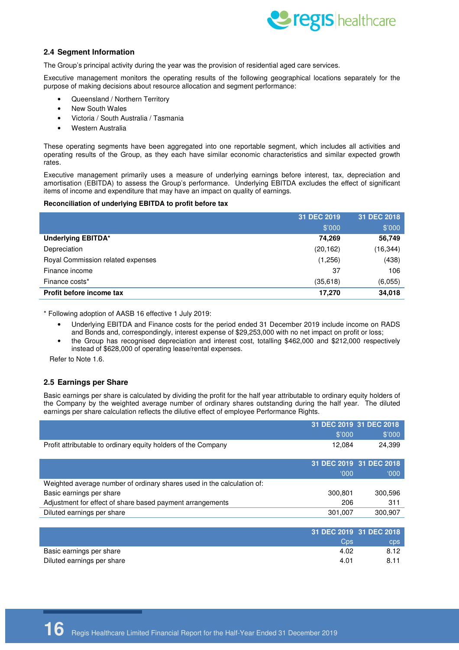

#### **2.4 Segment Information**

The Group's principal activity during the year was the provision of residential aged care services.

Executive management monitors the operating results of the following geographical locations separately for the purpose of making decisions about resource allocation and segment performance:

- Queensland / Northern Territory
- New South Wales
- Victoria / South Australia / Tasmania
- Western Australia

These operating segments have been aggregated into one reportable segment, which includes all activities and operating results of the Group, as they each have similar economic characteristics and similar expected growth rates.

Executive management primarily uses a measure of underlying earnings before interest, tax, depreciation and amortisation (EBITDA) to assess the Group's performance. Underlying EBITDA excludes the effect of significant items of income and expenditure that may have an impact on quality of earnings.

#### **Reconciliation of underlying EBITDA to profit before tax**

|                                   | 31 DEC 2019 | 31 DEC 2018 |
|-----------------------------------|-------------|-------------|
|                                   | \$'000      | \$'000      |
| <b>Underlying EBITDA*</b>         | 74,269      | 56,749      |
| Depreciation                      | (20, 162)   | (16,344)    |
| Royal Commission related expenses | (1,256)     | (438)       |
| Finance income                    | 37          | 106         |
| Finance costs*                    | (35,618)    | (6,055)     |
| Profit before income tax          | 17,270      | 34,018      |

\* Following adoption of AASB 16 effective 1 July 2019:

- Underlying EBITDA and Finance costs for the period ended 31 December 2019 include income on RADS and Bonds and, correspondingly, interest expense of \$29,253,000 with no net impact on profit or loss;
- the Group has recognised depreciation and interest cost, totalling \$462,000 and \$212,000 respectively instead of \$628,000 of operating lease/rental expenses.

Refer to Note 1.6.

#### **2.5 Earnings per Share**

Basic earnings per share is calculated by dividing the profit for the half year attributable to ordinary equity holders of the Company by the weighted average number of ordinary shares outstanding during the half year. The diluted earnings per share calculation reflects the dilutive effect of employee Performance Rights.

|                                                                        |               | 31 DEC 2019 31 DEC 2018 |
|------------------------------------------------------------------------|---------------|-------------------------|
|                                                                        | \$'000        | \$'000                  |
| Profit attributable to ordinary equity holders of the Company          | 12,084        | 24,399                  |
|                                                                        |               |                         |
|                                                                        |               | 31 DEC 2019 31 DEC 2018 |
|                                                                        | $000^{\circ}$ | 000                     |
| Weighted average number of ordinary shares used in the calculation of: |               |                         |
| Basic earnings per share                                               | 300.801       | 300,596                 |
| Adjustment for effect of share based payment arrangements              | 206           | 311                     |
| Diluted earnings per share                                             | 301,007       | 300,907                 |
|                                                                        |               |                         |
|                                                                        |               | 31 DEC 2019 31 DEC 2018 |
|                                                                        | Cps           | cps                     |
| Basic earnings per share                                               | 4.02          | 8.12                    |

Diluted earnings per share 4.01 8.11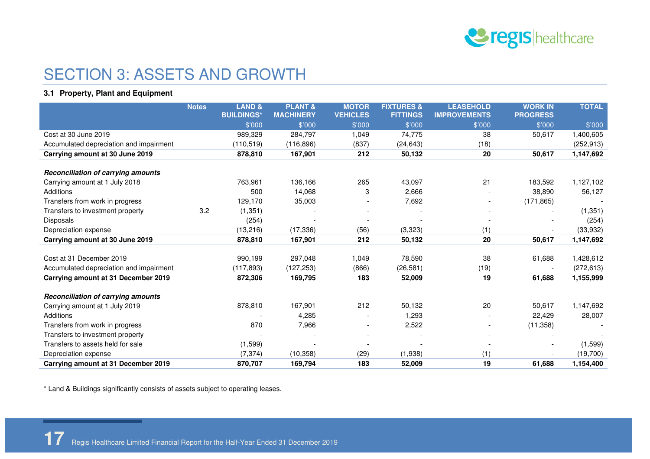

### SECTION 3: ASSETS AND GROWTH

### **3.1 Property, Plant and Equipment**

|                                           | <b>Notes</b> | <b>LAND &amp;</b><br><b>BUILDINGS*</b> | <b>PLANT &amp;</b><br><b>MACHINERY</b> | <b>MOTOR</b><br><b>VEHICLES</b> | <b>FIXTURES &amp;</b><br><b>FITTINGS</b> | <b>LEASEHOLD</b><br><b>IMPROVEMENTS</b> | <b>WORK IN</b><br><b>PROGRESS</b> | <b>TOTAL</b> |
|-------------------------------------------|--------------|----------------------------------------|----------------------------------------|---------------------------------|------------------------------------------|-----------------------------------------|-----------------------------------|--------------|
|                                           |              | \$'000                                 | \$'000                                 | \$'000                          | \$'000                                   | \$'000                                  | \$'000                            | \$'000       |
| Cost at 30 June 2019                      |              | 989,329                                | 284,797                                | 1,049                           | 74,775                                   | 38                                      | 50,617                            | 1,400,605    |
| Accumulated depreciation and impairment   |              | (110, 519)                             | (116, 896)                             | (837)                           | (24, 643)                                | (18)                                    |                                   | (252, 913)   |
| Carrying amount at 30 June 2019           |              | 878,810                                | 167,901                                | 212                             | 50,132                                   | 20                                      | 50,617                            | 1,147,692    |
|                                           |              |                                        |                                        |                                 |                                          |                                         |                                   |              |
| <b>Reconciliation of carrying amounts</b> |              |                                        |                                        |                                 |                                          |                                         |                                   |              |
| Carrying amount at 1 July 2018            |              | 763,961                                | 136,166                                | 265                             | 43,097                                   | 21                                      | 183,592                           | 1,127,102    |
| Additions                                 |              | 500                                    | 14,068                                 | 3                               | 2,666                                    |                                         | 38,890                            | 56,127       |
| Transfers from work in progress           |              | 129,170                                | 35,003                                 |                                 | 7,692                                    | $\overline{\phantom{a}}$                | (171, 865)                        |              |
| Transfers to investment property          | 3.2          | (1, 351)                               |                                        |                                 |                                          |                                         |                                   | (1,351)      |
| Disposals                                 |              | (254)                                  |                                        |                                 |                                          |                                         |                                   | (254)        |
| Depreciation expense                      |              | (13, 216)                              | (17, 336)                              | (56)                            | (3, 323)                                 | (1)                                     |                                   | (33,932)     |
| Carrying amount at 30 June 2019           |              | 878,810                                | 167,901                                | 212                             | 50,132                                   | 20                                      | 50,617                            | 1,147,692    |
|                                           |              |                                        |                                        |                                 |                                          |                                         |                                   |              |
| Cost at 31 December 2019                  |              | 990,199                                | 297,048                                | 1,049                           | 78,590                                   | 38                                      | 61,688                            | 1,428,612    |
| Accumulated depreciation and impairment   |              | (117, 893)                             | (127,253)                              | (866)                           | (26, 581)                                | (19)                                    |                                   | (272, 613)   |
| Carrying amount at 31 December 2019       |              | 872,306                                | 169,795                                | 183                             | 52,009                                   | 19                                      | 61,688                            | 1,155,999    |
|                                           |              |                                        |                                        |                                 |                                          |                                         |                                   |              |
| <b>Reconciliation of carrying amounts</b> |              |                                        |                                        |                                 |                                          |                                         |                                   |              |
| Carrying amount at 1 July 2019            |              | 878,810                                | 167,901                                | 212                             | 50,132                                   | 20                                      | 50.617                            | 1,147,692    |
| <b>Additions</b>                          |              |                                        | 4,285                                  |                                 | 1,293                                    |                                         | 22,429                            | 28,007       |
| Transfers from work in progress           |              | 870                                    | 7,966                                  | $\overline{\phantom{a}}$        | 2,522                                    | $\overline{\phantom{0}}$                | (11, 358)                         |              |
| Transfers to investment property          |              |                                        |                                        |                                 |                                          |                                         |                                   |              |
| Transfers to assets held for sale         |              | (1,599)                                |                                        |                                 |                                          |                                         |                                   | (1,599)      |
| Depreciation expense                      |              | (7, 374)                               | (10, 358)                              | (29)                            | (1,938)                                  | (1)                                     |                                   | (19,700)     |
| Carrying amount at 31 December 2019       |              | 870,707                                | 169,794                                | 183                             | 52,009                                   | 19                                      | 61,688                            | 1,154,400    |

\* Land & Buildings significantly consists of assets subject to operating leases.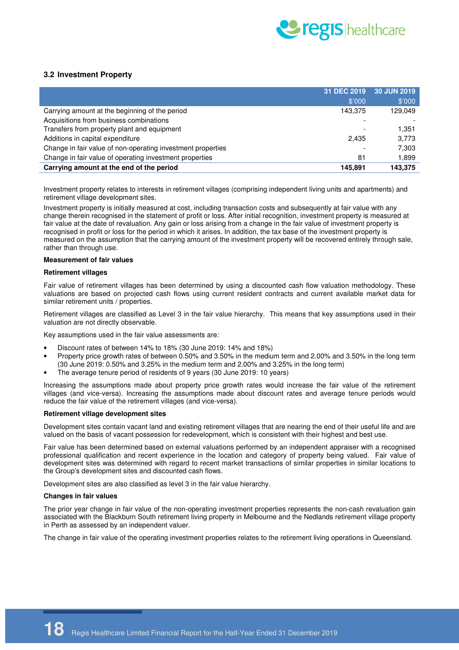

#### **3.2 Investment Property**

|                                                             | 31 DEC 2019 | 30 JUN 2019 |
|-------------------------------------------------------------|-------------|-------------|
|                                                             | \$'000      | \$'000      |
| Carrying amount at the beginning of the period              | 143.375     | 129,049     |
| Acquisitions from business combinations                     |             |             |
| Transfers from property plant and equipment                 |             | 1,351       |
| Additions in capital expenditure                            | 2,435       | 3,773       |
| Change in fair value of non-operating investment properties |             | 7,303       |
| Change in fair value of operating investment properties     | 81          | 1,899       |
| Carrying amount at the end of the period                    | 145.891     | 143.375     |

Investment property relates to interests in retirement villages (comprising independent living units and apartments) and retirement village development sites.

Investment property is initially measured at cost, including transaction costs and subsequently at fair value with any change therein recognised in the statement of profit or loss. After initial recognition, investment property is measured at fair value at the date of revaluation. Any gain or loss arising from a change in the fair value of investment property is recognised in profit or loss for the period in which it arises. In addition, the tax base of the investment property is measured on the assumption that the carrying amount of the investment property will be recovered entirely through sale, rather than through use.

#### **Measurement of fair values**

#### **Retirement villages**

Fair value of retirement villages has been determined by using a discounted cash flow valuation methodology. These valuations are based on projected cash flows using current resident contracts and current available market data for similar retirement units / properties.

Retirement villages are classified as Level 3 in the fair value hierarchy. This means that key assumptions used in their valuation are not directly observable.

Key assumptions used in the fair value assessments are:

- Discount rates of between 14% to 18% (30 June 2019: 14% and 18%)
- Property price growth rates of between 0.50% and 3.50% in the medium term and 2.00% and 3.50% in the long term (30 June 2019: 0.50% and 3.25% in the medium term and 2.00% and 3.25% in the long term)
- The average tenure period of residents of 9 years (30 June 2019: 10 years)

Increasing the assumptions made about property price growth rates would increase the fair value of the retirement villages (and vice-versa). Increasing the assumptions made about discount rates and average tenure periods would reduce the fair value of the retirement villages (and vice-versa).

#### **Retirement village development sites**

Development sites contain vacant land and existing retirement villages that are nearing the end of their useful life and are valued on the basis of vacant possession for redevelopment, which is consistent with their highest and best use.

Fair value has been determined based on external valuations performed by an independent appraiser with a recognised professional qualification and recent experience in the location and category of property being valued. Fair value of development sites was determined with regard to recent market transactions of similar properties in similar locations to the Group's development sites and discounted cash flows.

Development sites are also classified as level 3 in the fair value hierarchy.

#### **Changes in fair values**

The prior year change in fair value of the non-operating investment properties represents the non-cash revaluation gain associated with the Blackburn South retirement living property in Melbourne and the Nedlands retirement village property in Perth as assessed by an independent valuer.

The change in fair value of the operating investment properties relates to the retirement living operations in Queensland.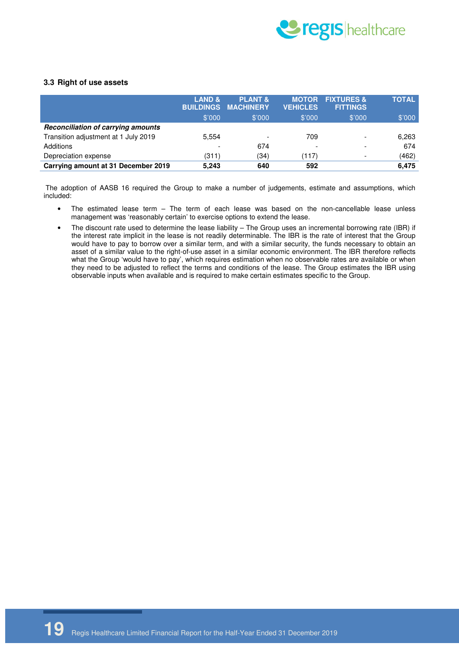

#### **3.3 Right of use assets**

|                                           | <b>LAND &amp;</b><br><b>BUILDINGS</b><br>\$'000 | <b>PLANT &amp;</b><br><b>MACHINERY</b><br>\$'000 | <b>MOTOR</b><br><b>VEHICLES</b><br>\$'000 | <b>FIXTURES &amp;</b><br><b>FITTINGS</b><br>\$'000 | <b>TOTAL</b><br>\$'000 |
|-------------------------------------------|-------------------------------------------------|--------------------------------------------------|-------------------------------------------|----------------------------------------------------|------------------------|
| <b>Reconciliation of carrying amounts</b> |                                                 |                                                  |                                           |                                                    |                        |
| Transition adjustment at 1 July 2019      | 5.554                                           |                                                  | 709                                       | $\overline{\phantom{a}}$                           | 6,263                  |
| Additions                                 |                                                 | 674                                              | $\overline{\phantom{0}}$                  | $\overline{\phantom{a}}$                           | 674                    |
| Depreciation expense                      | (311)                                           | (34)                                             | (117)                                     | $\overline{\phantom{a}}$                           | (462)                  |
| Carrying amount at 31 December 2019       | 5.243                                           | 640                                              | 592                                       |                                                    | 6.475                  |

 The adoption of AASB 16 required the Group to make a number of judgements, estimate and assumptions, which included:

- The estimated lease term The term of each lease was based on the non-cancellable lease unless management was 'reasonably certain' to exercise options to extend the lease.
- The discount rate used to determine the lease liability The Group uses an incremental borrowing rate (IBR) if the interest rate implicit in the lease is not readily determinable. The IBR is the rate of interest that the Group would have to pay to borrow over a similar term, and with a similar security, the funds necessary to obtain an asset of a similar value to the right-of-use asset in a similar economic environment. The IBR therefore reflects what the Group 'would have to pay', which requires estimation when no observable rates are available or when they need to be adjusted to reflect the terms and conditions of the lease. The Group estimates the IBR using observable inputs when available and is required to make certain estimates specific to the Group.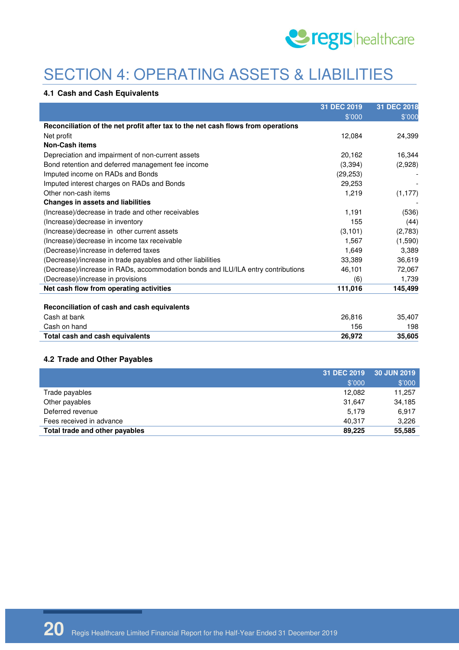

# SECTION 4: OPERATING ASSETS & LIABILITIES

#### **4.1 Cash and Cash Equivalents**

|                                                                                  | 31 DEC 2019 | 31 DEC 2018 |
|----------------------------------------------------------------------------------|-------------|-------------|
|                                                                                  | \$'000      | \$'000      |
| Reconciliation of the net profit after tax to the net cash flows from operations |             |             |
| Net profit                                                                       | 12,084      | 24,399      |
| <b>Non-Cash items</b>                                                            |             |             |
| Depreciation and impairment of non-current assets                                | 20,162      | 16,344      |
| Bond retention and deferred management fee income                                | (3,394)     | (2,928)     |
| Imputed income on RADs and Bonds                                                 | (29, 253)   |             |
| Imputed interest charges on RADs and Bonds                                       | 29,253      |             |
| Other non-cash items                                                             | 1,219       | (1, 177)    |
| <b>Changes in assets and liabilities</b>                                         |             |             |
| (Increase)/decrease in trade and other receivables                               | 1,191       | (536)       |
| (Increase)/decrease in inventory                                                 | 155         | (44)        |
| (Increase)/decrease in other current assets                                      | (3, 101)    | (2,783)     |
| (Increase)/decrease in income tax receivable                                     | 1,567       | (1,590)     |
| (Decrease)/increase in deferred taxes                                            | 1,649       | 3,389       |
| (Decrease)/increase in trade payables and other liabilities                      | 33,389      | 36,619      |
| (Decrease)/increase in RADs, accommodation bonds and ILU/ILA entry contributions | 46,101      | 72,067      |
| (Decrease)/increase in provisions                                                | (6)         | 1,739       |
| Net cash flow from operating activities                                          | 111,016     | 145,499     |
|                                                                                  |             |             |
| Reconciliation of cash and cash equivalents                                      |             |             |
| Cash at bank                                                                     | 26,816      | 35,407      |
| Cash on hand                                                                     | 156         | 198         |
| Total cash and cash equivalents                                                  | 26,972      | 35,605      |

### **4.2 Trade and Other Payables**

|                                | 31 DEC 2019 | 30 JUN 2019 |
|--------------------------------|-------------|-------------|
|                                | \$'000      | \$'000      |
| Trade payables                 | 12.082      | 11,257      |
| Other payables                 | 31.647      | 34,185      |
| Deferred revenue               | 5.179       | 6,917       |
| Fees received in advance       | 40,317      | 3,226       |
| Total trade and other payables | 89,225      | 55,585      |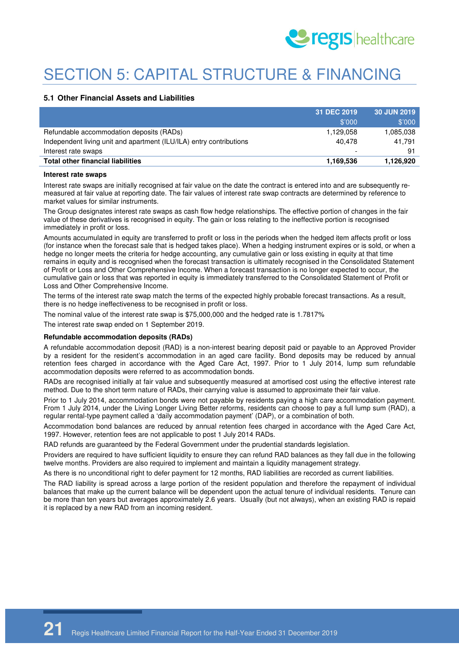

# SECTION 5: CAPITAL STRUCTURE & FINANCING

#### **5.1 Other Financial Assets and Liabilities**

|                                                                     | 31 DEC 2019              | <b>30 JUN 2019</b> |
|---------------------------------------------------------------------|--------------------------|--------------------|
|                                                                     | \$'000                   | \$'000             |
| Refundable accommodation deposits (RADs)                            | 1,129,058                | 1,085,038          |
| Independent living unit and apartment (ILU/ILA) entry contributions | 40.478                   | 41.791             |
| Interest rate swaps                                                 | $\overline{\phantom{a}}$ | 91                 |
| <b>Total other financial liabilities</b>                            | 1,169,536                | 1,126,920          |

#### **Interest rate swaps**

Interest rate swaps are initially recognised at fair value on the date the contract is entered into and are subsequently remeasured at fair value at reporting date. The fair values of interest rate swap contracts are determined by reference to market values for similar instruments.

The Group designates interest rate swaps as cash flow hedge relationships. The effective portion of changes in the fair value of these derivatives is recognised in equity. The gain or loss relating to the ineffective portion is recognised immediately in profit or loss.

Amounts accumulated in equity are transferred to profit or loss in the periods when the hedged item affects profit or loss (for instance when the forecast sale that is hedged takes place). When a hedging instrument expires or is sold, or when a hedge no longer meets the criteria for hedge accounting, any cumulative gain or loss existing in equity at that time remains in equity and is recognised when the forecast transaction is ultimately recognised in the Consolidated Statement of Profit or Loss and Other Comprehensive Income. When a forecast transaction is no longer expected to occur, the cumulative gain or loss that was reported in equity is immediately transferred to the Consolidated Statement of Profit or Loss and Other Comprehensive Income.

The terms of the interest rate swap match the terms of the expected highly probable forecast transactions. As a result, there is no hedge ineffectiveness to be recognised in profit or loss.

The nominal value of the interest rate swap is \$75,000,000 and the hedged rate is 1.7817%

The interest rate swap ended on 1 September 2019.

#### **Refundable accommodation deposits (RADs)**

A refundable accommodation deposit (RAD) is a non-interest bearing deposit paid or payable to an Approved Provider by a resident for the resident's accommodation in an aged care facility. Bond deposits may be reduced by annual retention fees charged in accordance with the Aged Care Act, 1997. Prior to 1 July 2014, lump sum refundable accommodation deposits were referred to as accommodation bonds.

RADs are recognised initially at fair value and subsequently measured at amortised cost using the effective interest rate method. Due to the short term nature of RADs, their carrying value is assumed to approximate their fair value.

Prior to 1 July 2014, accommodation bonds were not payable by residents paying a high care accommodation payment. From 1 July 2014, under the Living Longer Living Better reforms, residents can choose to pay a full lump sum (RAD), a regular rental-type payment called a 'daily accommodation payment' (DAP), or a combination of both.

Accommodation bond balances are reduced by annual retention fees charged in accordance with the Aged Care Act, 1997. However, retention fees are not applicable to post 1 July 2014 RADs.

RAD refunds are guaranteed by the Federal Government under the prudential standards legislation.

Providers are required to have sufficient liquidity to ensure they can refund RAD balances as they fall due in the following twelve months. Providers are also required to implement and maintain a liquidity management strategy.

As there is no unconditional right to defer payment for 12 months, RAD liabilities are recorded as current liabilities.

The RAD liability is spread across a large portion of the resident population and therefore the repayment of individual balances that make up the current balance will be dependent upon the actual tenure of individual residents. Tenure can be more than ten years but averages approximately 2.6 years. Usually (but not always), when an existing RAD is repaid it is replaced by a new RAD from an incoming resident.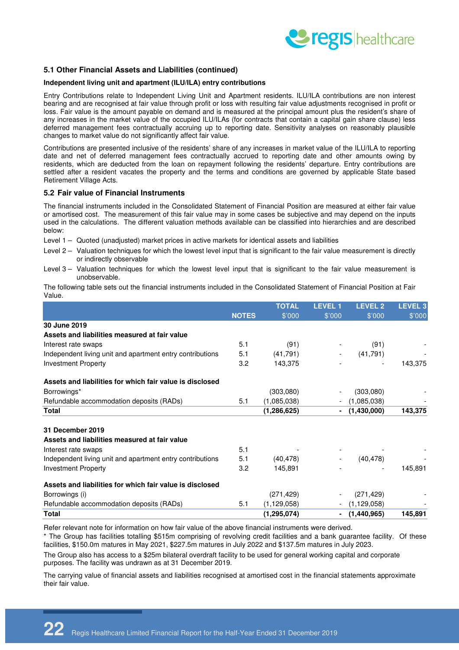

#### **5.1 Other Financial Assets and Liabilities (continued)**

#### **Independent living unit and apartment (ILU/ILA) entry contributions**

Entry Contributions relate to Independent Living Unit and Apartment residents. ILU/ILA contributions are non interest bearing and are recognised at fair value through profit or loss with resulting fair value adjustments recognised in profit or loss. Fair value is the amount payable on demand and is measured at the principal amount plus the resident's share of any increases in the market value of the occupied ILU/ILAs (for contracts that contain a capital gain share clause) less deferred management fees contractually accruing up to reporting date. Sensitivity analyses on reasonably plausible changes to market value do not significantly affect fair value.

Contributions are presented inclusive of the residents' share of any increases in market value of the ILU/ILA to reporting date and net of deferred management fees contractually accrued to reporting date and other amounts owing by residents, which are deducted from the loan on repayment following the residents' departure. Entry contributions are settled after a resident vacates the property and the terms and conditions are governed by applicable State based Retirement Village Acts.

#### **5.2 Fair value of Financial Instruments**

The financial instruments included in the Consolidated Statement of Financial Position are measured at either fair value or amortised cost. The measurement of this fair value may in some cases be subjective and may depend on the inputs used in the calculations. The different valuation methods available can be classified into hierarchies and are described below:

- Level 1 Quoted (unadjusted) market prices in active markets for identical assets and liabilities
- Level 2 Valuation techniques for which the lowest level input that is significant to the fair value measurement is directly or indirectly observable
- Level 3 Valuation techniques for which the lowest level input that is significant to the fair value measurement is unobservable.

The following table sets out the financial instruments included in the Consolidated Statement of Financial Position at Fair Value.

|                                                           |              | <b>TOTAL</b>  | <b>LEVEL 1</b> | <b>LEVEL 2</b> | <b>LEVEL 3</b> |
|-----------------------------------------------------------|--------------|---------------|----------------|----------------|----------------|
|                                                           | <b>NOTES</b> | \$'000        | \$'000         | \$'000         | \$'000         |
| 30 June 2019                                              |              |               |                |                |                |
| Assets and liabilities measured at fair value             |              |               |                |                |                |
| Interest rate swaps                                       | 5.1          | (91)          |                | (91)           |                |
| Independent living unit and apartment entry contributions | 5.1          | (41, 791)     |                | (41, 791)      |                |
| <b>Investment Property</b>                                | 3.2          | 143,375       |                |                | 143,375        |
| Assets and liabilities for which fair value is disclosed  |              |               |                |                |                |
| Borrowings*                                               |              | (303,080)     |                | (303,080)      |                |
| Refundable accommodation deposits (RADs)                  | 5.1          | (1,085,038)   |                | (1,085,038)    |                |
| Total                                                     |              | (1,286,625)   | $\blacksquare$ | (1,430,000)    | 143,375        |
| 31 December 2019                                          |              |               |                |                |                |
| Assets and liabilities measured at fair value             |              |               |                |                |                |
| Interest rate swaps                                       | 5.1          |               |                |                |                |
| Independent living unit and apartment entry contributions | 5.1          | (40, 478)     |                | (40, 478)      |                |
| <b>Investment Property</b>                                | 3.2          | 145,891       |                |                | 145,891        |
| Assets and liabilities for which fair value is disclosed  |              |               |                |                |                |
| Borrowings (i)                                            |              | (271, 429)    |                | (271, 429)     |                |
| Refundable accommodation deposits (RADs)                  | 5.1          | (1, 129, 058) |                | (1, 129, 058)  |                |
| Total                                                     |              | (1, 295, 074) |                | (1,440,965)    | 145,891        |

Refer relevant note for information on how fair value of the above financial instruments were derived.

\* The Group has facilities totalling \$515m comprising of revolving credit facilities and a bank guarantee facility. Of these facilities, \$150.0m matures in May 2021, \$227.5m matures in July 2022 and \$137.5m matures in July 2023.

The Group also has access to a \$25m bilateral overdraft facility to be used for general working capital and corporate purposes. The facility was undrawn as at 31 December 2019.

The carrying value of financial assets and liabilities recognised at amortised cost in the financial statements approximate their fair value.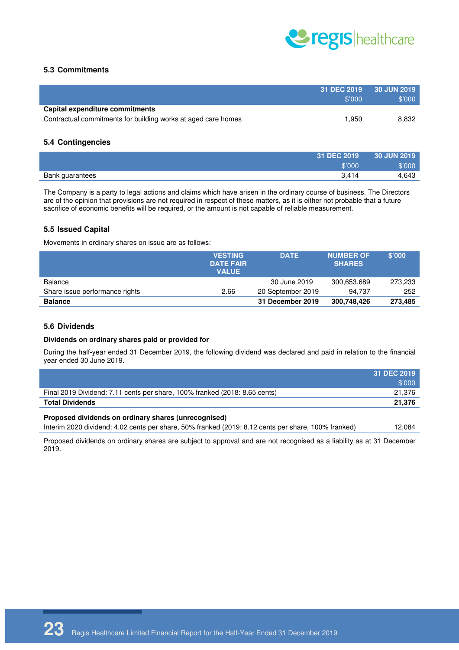

#### **5.3 Commitments**

|                                                               | 31 DEC 2019<br>\$'000 | 30 JUN 2019<br>\$'000 |
|---------------------------------------------------------------|-----------------------|-----------------------|
| Capital expenditure commitments                               |                       |                       |
| Contractual commitments for building works at aged care homes | 1.950                 | 8.832                 |

#### **5.4 Contingencies**

| 31 DEC 2019              | 30 JUN 2019 |
|--------------------------|-------------|
| \$'000                   | \$'000 '    |
| 3.414<br>Bank guarantees | 4.643       |

The Company is a party to legal actions and claims which have arisen in the ordinary course of business. The Directors are of the opinion that provisions are not required in respect of these matters, as it is either not probable that a future sacrifice of economic benefits will be required, or the amount is not capable of reliable measurement.

#### **5.5 Issued Capital**

Movements in ordinary shares on issue are as follows:

|                                | <b>VESTING</b><br><b>DATE FAIR</b><br><b>VALUE</b> | <b>DATE</b>       | <b>NUMBER OF</b><br><b>SHARES</b> | \$'000  |
|--------------------------------|----------------------------------------------------|-------------------|-----------------------------------|---------|
| Balance                        |                                                    | 30 June 2019      | 300,653,689                       | 273,233 |
| Share issue performance rights | 2.66                                               | 20 September 2019 | 94.737                            | 252     |
| <b>Balance</b>                 |                                                    | 31 December 2019  | 300,748,426                       | 273,485 |

#### **5.6 Dividends**

#### **Dividends on ordinary shares paid or provided for**

During the half-year ended 31 December 2019, the following dividend was declared and paid in relation to the financial year ended 30 June 2019.

|                                                                            | 31 DEC 2019 |
|----------------------------------------------------------------------------|-------------|
|                                                                            | \$'000      |
| Final 2019 Dividend: 7.11 cents per share, 100% franked (2018: 8.65 cents) | 21.376      |
| <b>Total Dividends</b>                                                     | 21.376      |
|                                                                            |             |

#### **Proposed dividends on ordinary shares (unrecognised)**

Interim 2020 dividend: 4.02 cents per share, 50% franked (2019: 8.12 cents per share, 100% franked) 12,084

Proposed dividends on ordinary shares are subject to approval and are not recognised as a liability as at 31 December 2019.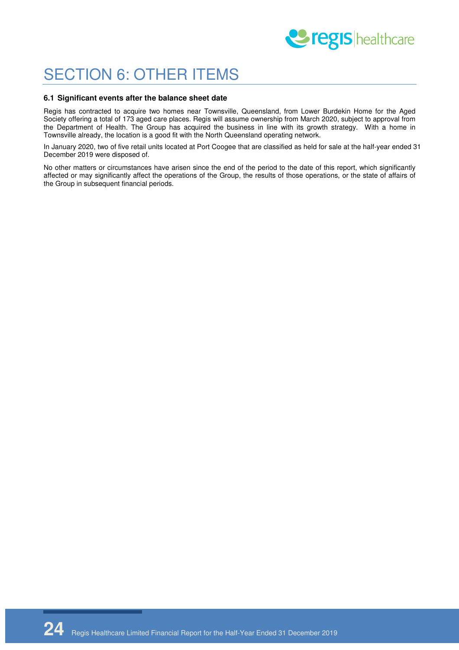

# SECTION 6: OTHER ITEMS

#### **6.1 Significant events after the balance sheet date**

Regis has contracted to acquire two homes near Townsville, Queensland, from Lower Burdekin Home for the Aged Society offering a total of 173 aged care places. Regis will assume ownership from March 2020, subject to approval from the Department of Health. The Group has acquired the business in line with its growth strategy. With a home in Townsville already, the location is a good fit with the North Queensland operating network.

In January 2020, two of five retail units located at Port Coogee that are classified as held for sale at the half-year ended 31 December 2019 were disposed of.

No other matters or circumstances have arisen since the end of the period to the date of this report, which significantly affected or may significantly affect the operations of the Group, the results of those operations, or the state of affairs of the Group in subsequent financial periods.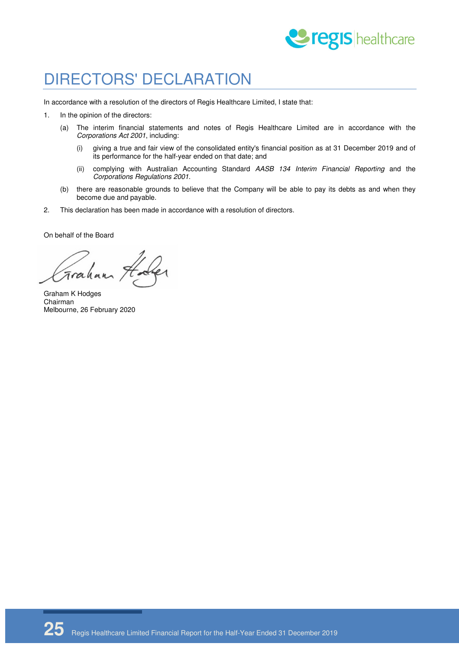

## DIRECTORS' DECLARATION

In accordance with a resolution of the directors of Regis Healthcare Limited, I state that:

- 1. In the opinion of the directors:
	- (a) The interim financial statements and notes of Regis Healthcare Limited are in accordance with the Corporations Act 2001, including:
		- (i) giving a true and fair view of the consolidated entity's financial position as at 31 December 2019 and of its performance for the half-year ended on that date; and
		- (ii) complying with Australian Accounting Standard AASB 134 Interim Financial Reporting and the Corporations Regulations 2001.
	- (b) there are reasonable grounds to believe that the Company will be able to pay its debts as and when they become due and payable.
- 2. This declaration has been made in accordance with a resolution of directors.

On behalf of the Board

Frahan

Graham K Hodges Chairman Melbourne, 26 February 2020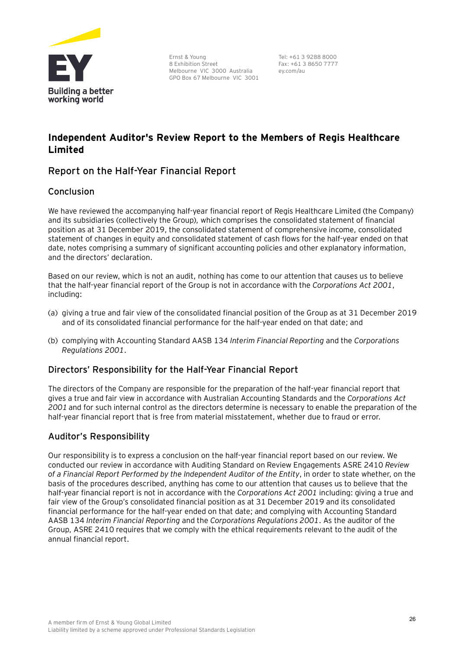

Ernst & Young 8 Exhibition Street Melbourne VIC 3000 Australia GPO Box 67 Melbourne VIC 3001

Tel: +61 3 9288 8000 Fax: +61 3 8650 7777 ey.com/au

### **Independent Auditor's Review Report to the Members of Regis Healthcare Limited**

### **Report on the Half-Year Financial Report**

### Conclusion

We have reviewed the accompanying half-year financial report of Regis Healthcare Limited (the Company) and its subsidiaries (collectively the Group), which comprises the consolidated statement of financial position as at 31 December 2019, the consolidated statement of comprehensive income, consolidated statement of changes in equity and consolidated statement of cash flows for the half-year ended on that date, notes comprising a summary of significant accounting policies and other explanatory information, and the directors' declaration.

Based on our review, which is not an audit, nothing has come to our attention that causes us to believe that the half-year financial report of the Group is not in accordance with the *Corporations Act 2001*, including:

- (a) giving a true and fair view of the consolidated financial position of the Group as at 31 December 2019 and of its consolidated financial performance for the half-year ended on that date; and
- (b) complying with Accounting Standard AASB 134 *Interim Financial Reporting* and the *Corporations Regulations 2001*.

### Directors' Responsibility for the Half-Year Financial Report

The directors of the Company are responsible for the preparation of the half-year financial report that gives a true and fair view in accordance with Australian Accounting Standards and the *Corporations Act 2001* and for such internal control as the directors determine is necessary to enable the preparation of the half-year financial report that is free from material misstatement, whether due to fraud or error.

### Auditor's Responsibility

Our responsibility is to express a conclusion on the half-year financial report based on our review. We conducted our review in accordance with Auditing Standard on Review Engagements ASRE 2410 *Review of a Financial Report Performed by the Independent Auditor of the Entity*, in order to state whether, on the basis of the procedures described, anything has come to our attention that causes us to believe that the half-year financial report is not in accordance with the *Corporations Act 2001* including: giving a true and fair view of the Group's consolidated financial position as at 31 December 2019 and its consolidated financial performance for the half-year ended on that date; and complying with Accounting Standard AASB 134 *Interim Financial Reporting* and the *Corporations Regulations 2001*. As the auditor of the Group, ASRE 2410 requires that we comply with the ethical requirements relevant to the audit of the annual financial report.